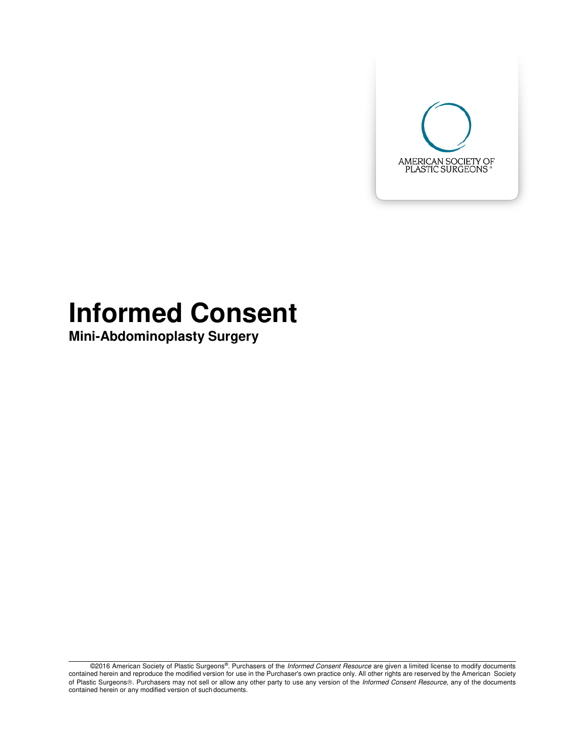

# **Informed Consent**

**Mini-Abdominoplasty Surgery** 

©2016 American Society of Plastic Surgeons®. Purchasers of the Informed Consent Resource are given a limited license to modify documents contained herein and reproduce the modified version for use in the Purchaser's own practice only. All other rights are reserved by the American Society of Plastic Surgeons®. Purchasers may not sell or allow any other party to use any version of the Informed Consent Resource, any of the documents contained herein or any modified version of such documents.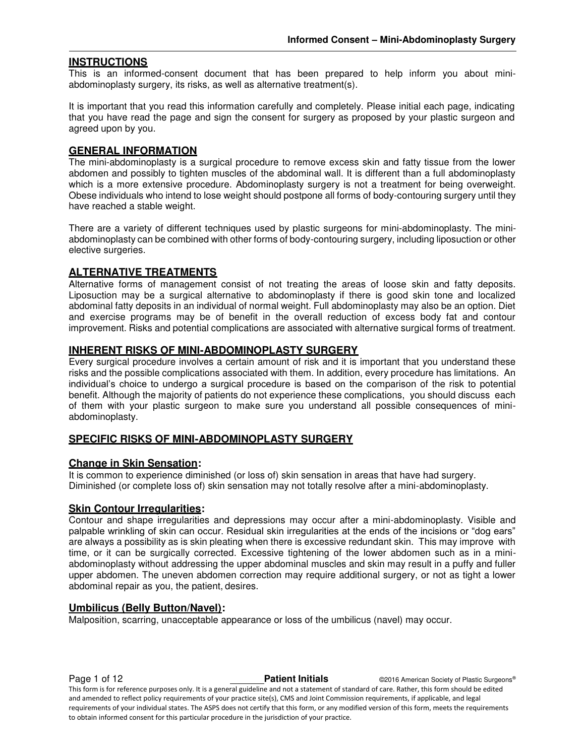#### **INSTRUCTIONS**

This is an informed-consent document that has been prepared to help inform you about miniabdominoplasty surgery, its risks, as well as alternative treatment(s).

It is important that you read this information carefully and completely. Please initial each page, indicating that you have read the page and sign the consent for surgery as proposed by your plastic surgeon and agreed upon by you.

#### **GENERAL INFORMATION**

The mini-abdominoplasty is a surgical procedure to remove excess skin and fatty tissue from the lower abdomen and possibly to tighten muscles of the abdominal wall. It is different than a full abdominoplasty which is a more extensive procedure. Abdominoplasty surgery is not a treatment for being overweight. Obese individuals who intend to lose weight should postpone all forms of body-contouring surgery until they have reached a stable weight.

There are a variety of different techniques used by plastic surgeons for mini-abdominoplasty. The miniabdominoplasty can be combined with other forms of body-contouring surgery, including liposuction or other elective surgeries.

#### **ALTERNATIVE TREATMENTS**

Alternative forms of management consist of not treating the areas of loose skin and fatty deposits. Liposuction may be a surgical alternative to abdominoplasty if there is good skin tone and localized abdominal fatty deposits in an individual of normal weight. Full abdominoplasty may also be an option. Diet and exercise programs may be of benefit in the overall reduction of excess body fat and contour improvement. Risks and potential complications are associated with alternative surgical forms of treatment.

#### **INHERENT RISKS OF MINI-ABDOMINOPLASTY SURGERY**

Every surgical procedure involves a certain amount of risk and it is important that you understand these risks and the possible complications associated with them. In addition, every procedure has limitations. An individual's choice to undergo a surgical procedure is based on the comparison of the risk to potential benefit. Although the majority of patients do not experience these complications, you should discuss each of them with your plastic surgeon to make sure you understand all possible consequences of miniabdominoplasty.

#### **SPECIFIC RISKS OF MINI-ABDOMINOPLASTY SURGERY**

#### **Change in Skin Sensation:**

It is common to experience diminished (or loss of) skin sensation in areas that have had surgery. Diminished (or complete loss of) skin sensation may not totally resolve after a mini-abdominoplasty.

#### **Skin Contour Irregularities:**

Contour and shape irregularities and depressions may occur after a mini-abdominoplasty. Visible and palpable wrinkling of skin can occur. Residual skin irregularities at the ends of the incisions or "dog ears" are always a possibility as is skin pleating when there is excessive redundant skin. This may improve with time, or it can be surgically corrected. Excessive tightening of the lower abdomen such as in a miniabdominoplasty without addressing the upper abdominal muscles and skin may result in a puffy and fuller upper abdomen. The uneven abdomen correction may require additional surgery, or not as tight a lower abdominal repair as you, the patient, desires.

#### **Umbilicus (Belly Button/Navel):**

Malposition, scarring, unacceptable appearance or loss of the umbilicus (navel) may occur.

**Page 1 of 12 Patient Initials Patient Initials C2016 American Society of Plastic Surgeons®** This form is for reference purposes only. It is a general guideline and not a statement of standard of care. Rather, this form should be edited and amended to reflect policy requirements of your practice site(s), CMS and Joint Commission requirements, if applicable, and legal requirements of your individual states. The ASPS does not certify that this form, or any modified version of this form, meets the requirements to obtain informed consent for this particular procedure in the jurisdiction of your practice.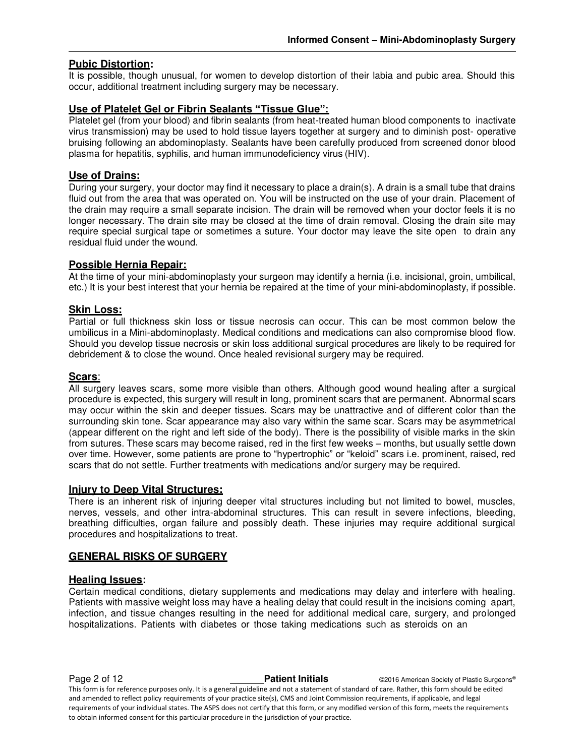## **Pubic Distortion:**

It is possible, though unusual, for women to develop distortion of their labia and pubic area. Should this occur, additional treatment including surgery may be necessary.

#### **Use of Platelet Gel or Fibrin Sealants "Tissue Glue":**

Platelet gel (from your blood) and fibrin sealants (from heat-treated human blood components to inactivate virus transmission) may be used to hold tissue layers together at surgery and to diminish post- operative bruising following an abdominoplasty. Sealants have been carefully produced from screened donor blood plasma for hepatitis, syphilis, and human immunodeficiency virus (HIV).

### **Use of Drains:**

During your surgery, your doctor may find it necessary to place a drain(s). A drain is a small tube that drains fluid out from the area that was operated on. You will be instructed on the use of your drain. Placement of the drain may require a small separate incision. The drain will be removed when your doctor feels it is no longer necessary. The drain site may be closed at the time of drain removal. Closing the drain site may require special surgical tape or sometimes a suture. Your doctor may leave the site open to drain any residual fluid under the wound.

#### **Possible Hernia Repair:**

At the time of your mini-abdominoplasty your surgeon may identify a hernia (i.e. incisional, groin, umbilical, etc.) It is your best interest that your hernia be repaired at the time of your mini-abdominoplasty, if possible.

#### **Skin Loss:**

Partial or full thickness skin loss or tissue necrosis can occur. This can be most common below the umbilicus in a Mini-abdominoplasty. Medical conditions and medications can also compromise blood flow. Should you develop tissue necrosis or skin loss additional surgical procedures are likely to be required for debridement & to close the wound. Once healed revisional surgery may be required.

#### **Scars**:

All surgery leaves scars, some more visible than others. Although good wound healing after a surgical procedure is expected, this surgery will result in long, prominent scars that are permanent. Abnormal scars may occur within the skin and deeper tissues. Scars may be unattractive and of different color than the surrounding skin tone. Scar appearance may also vary within the same scar. Scars may be asymmetrical (appear different on the right and left side of the body). There is the possibility of visible marks in the skin from sutures. These scars may become raised, red in the first few weeks – months, but usually settle down over time. However, some patients are prone to "hypertrophic" or "keloid" scars i.e. prominent, raised, red scars that do not settle. Further treatments with medications and/or surgery may be required.

#### **Injury to Deep Vital Structures:**

There is an inherent risk of injuring deeper vital structures including but not limited to bowel, muscles, nerves, vessels, and other intra-abdominal structures. This can result in severe infections, bleeding, breathing difficulties, organ failure and possibly death. These injuries may require additional surgical procedures and hospitalizations to treat.

#### **GENERAL RISKS OF SURGERY**

#### **Healing Issues:**

Certain medical conditions, dietary supplements and medications may delay and interfere with healing. Patients with massive weight loss may have a healing delay that could result in the incisions coming apart, infection, and tissue changes resulting in the need for additional medical care, surgery, and prolonged hospitalizations. Patients with diabetes or those taking medications such as steroids on an

**Page 2 of 12 Patient Initials Patient Initials CALC CONFIDENT CONSTRUSTIES Partical Society of Plastic Surgeons®** This form is for reference purposes only. It is a general guideline and not a statement of standard of care. Rather, this form should be edited and amended to reflect policy requirements of your practice site(s), CMS and Joint Commission requirements, if applicable, and legal requirements of your individual states. The ASPS does not certify that this form, or any modified version of this form, meets the requirements to obtain informed consent for this particular procedure in the jurisdiction of your practice.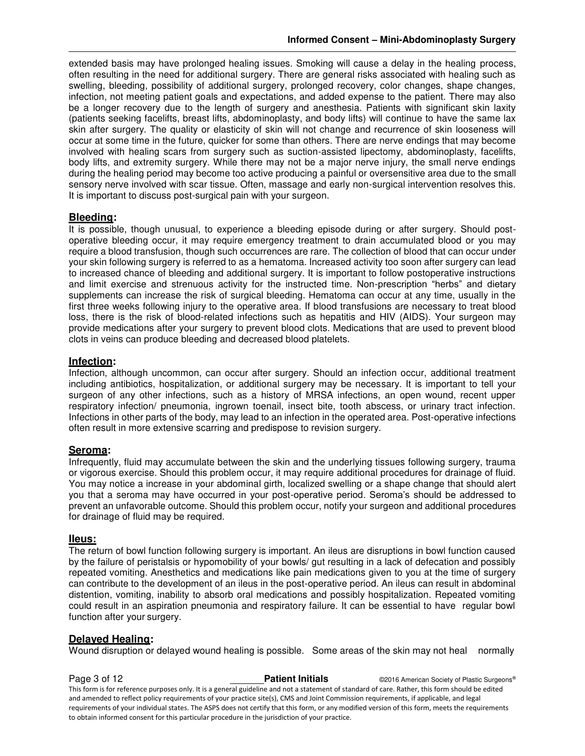extended basis may have prolonged healing issues. Smoking will cause a delay in the healing process, often resulting in the need for additional surgery. There are general risks associated with healing such as swelling, bleeding, possibility of additional surgery, prolonged recovery, color changes, shape changes, infection, not meeting patient goals and expectations, and added expense to the patient. There may also be a longer recovery due to the length of surgery and anesthesia. Patients with significant skin laxity (patients seeking facelifts, breast lifts, abdominoplasty, and body lifts) will continue to have the same lax skin after surgery. The quality or elasticity of skin will not change and recurrence of skin looseness will occur at some time in the future, quicker for some than others. There are nerve endings that may become involved with healing scars from surgery such as suction-assisted lipectomy, abdominoplasty, facelifts, body lifts, and extremity surgery. While there may not be a major nerve injury, the small nerve endings during the healing period may become too active producing a painful or oversensitive area due to the small sensory nerve involved with scar tissue. Often, massage and early non-surgical intervention resolves this. It is important to discuss post-surgical pain with your surgeon.

## **Bleeding:**

It is possible, though unusual, to experience a bleeding episode during or after surgery. Should postoperative bleeding occur, it may require emergency treatment to drain accumulated blood or you may require a blood transfusion, though such occurrences are rare. The collection of blood that can occur under your skin following surgery is referred to as a hematoma. Increased activity too soon after surgery can lead to increased chance of bleeding and additional surgery. It is important to follow postoperative instructions and limit exercise and strenuous activity for the instructed time. Non-prescription "herbs" and dietary supplements can increase the risk of surgical bleeding. Hematoma can occur at any time, usually in the first three weeks following injury to the operative area. If blood transfusions are necessary to treat blood loss, there is the risk of blood-related infections such as hepatitis and HIV (AIDS). Your surgeon may provide medications after your surgery to prevent blood clots. Medications that are used to prevent blood clots in veins can produce bleeding and decreased blood platelets.

## **Infection:**

Infection, although uncommon, can occur after surgery. Should an infection occur, additional treatment including antibiotics, hospitalization, or additional surgery may be necessary. It is important to tell your surgeon of any other infections, such as a history of MRSA infections, an open wound, recent upper respiratory infection/ pneumonia, ingrown toenail, insect bite, tooth abscess, or urinary tract infection. Infections in other parts of the body, may lead to an infection in the operated area. Post-operative infections often result in more extensive scarring and predispose to revision surgery.

#### **Seroma:**

Infrequently, fluid may accumulate between the skin and the underlying tissues following surgery, trauma or vigorous exercise. Should this problem occur, it may require additional procedures for drainage of fluid. You may notice a increase in your abdominal girth, localized swelling or a shape change that should alert you that a seroma may have occurred in your post-operative period. Seroma's should be addressed to prevent an unfavorable outcome. Should this problem occur, notify your surgeon and additional procedures for drainage of fluid may be required.

#### **IIeus:**

The return of bowl function following surgery is important. An ileus are disruptions in bowl function caused by the failure of peristalsis or hypomobility of your bowls/ gut resulting in a lack of defecation and possibly repeated vomiting. Anesthetics and medications like pain medications given to you at the time of surgery can contribute to the development of an ileus in the post-operative period. An ileus can result in abdominal distention, vomiting, inability to absorb oral medications and possibly hospitalization. Repeated vomiting could result in an aspiration pneumonia and respiratory failure. It can be essential to have regular bowl function after your surgery.

# **Delayed Healing:**

Wound disruption or delayed wound healing is possible. Some areas of the skin may not heal normally

**Page 3 of 12 Patient Initials Patient Initials CALC CONFIDENT CONSTRUSTIES Partical Society of Plastic Surgeons®** This form is for reference purposes only. It is a general guideline and not a statement of standard of care. Rather, this form should be edited and amended to reflect policy requirements of your practice site(s), CMS and Joint Commission requirements, if applicable, and legal requirements of your individual states. The ASPS does not certify that this form, or any modified version of this form, meets the requirements to obtain informed consent for this particular procedure in the jurisdiction of your practice.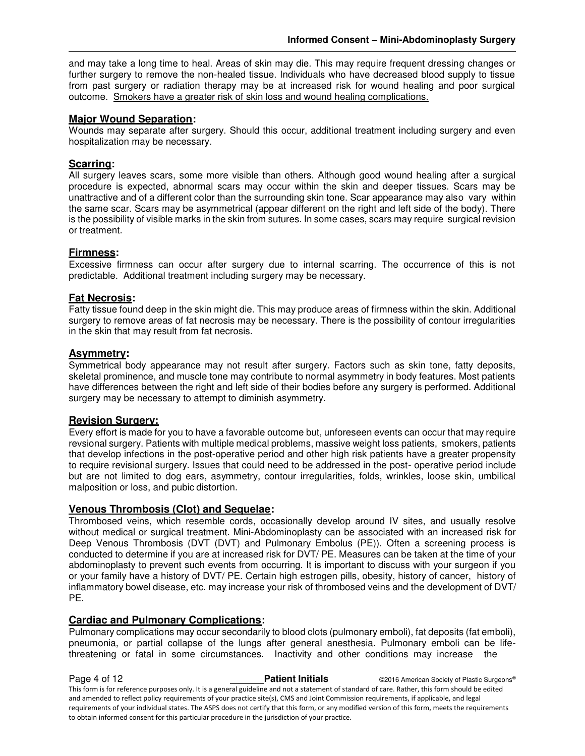and may take a long time to heal. Areas of skin may die. This may require frequent dressing changes or further surgery to remove the non-healed tissue. Individuals who have decreased blood supply to tissue from past surgery or radiation therapy may be at increased risk for wound healing and poor surgical outcome. Smokers have a greater risk of skin loss and wound healing complications.

# **Major Wound Separation:**

Wounds may separate after surgery. Should this occur, additional treatment including surgery and even hospitalization may be necessary.

# **Scarring:**

All surgery leaves scars, some more visible than others. Although good wound healing after a surgical procedure is expected, abnormal scars may occur within the skin and deeper tissues. Scars may be unattractive and of a different color than the surrounding skin tone. Scar appearance may also vary within the same scar. Scars may be asymmetrical (appear different on the right and left side of the body). There is the possibility of visible marks in the skin from sutures. In some cases, scars may require surgical revision or treatment.

#### **Firmness:**

Excessive firmness can occur after surgery due to internal scarring. The occurrence of this is not predictable. Additional treatment including surgery may be necessary.

#### **Fat Necrosis:**

Fatty tissue found deep in the skin might die. This may produce areas of firmness within the skin. Additional surgery to remove areas of fat necrosis may be necessary. There is the possibility of contour irregularities in the skin that may result from fat necrosis.

#### **Asymmetry:**

Symmetrical body appearance may not result after surgery. Factors such as skin tone, fatty deposits, skeletal prominence, and muscle tone may contribute to normal asymmetry in body features. Most patients have differences between the right and left side of their bodies before any surgery is performed. Additional surgery may be necessary to attempt to diminish asymmetry.

#### **Revision Surgery:**

Every effort is made for you to have a favorable outcome but, unforeseen events can occur that may require revsional surgery. Patients with multiple medical problems, massive weight loss patients, smokers, patients that develop infections in the post-operative period and other high risk patients have a greater propensity to require revisional surgery. Issues that could need to be addressed in the post- operative period include but are not limited to dog ears, asymmetry, contour irregularities, folds, wrinkles, loose skin, umbilical malposition or loss, and pubic distortion.

### **Venous Thrombosis (Clot) and Sequelae:**

Thrombosed veins, which resemble cords, occasionally develop around IV sites, and usually resolve without medical or surgical treatment. Mini-Abdominoplasty can be associated with an increased risk for Deep Venous Thrombosis (DVT (DVT) and Pulmonary Embolus (PE)). Often a screening process is conducted to determine if you are at increased risk for DVT/ PE. Measures can be taken at the time of your abdominoplasty to prevent such events from occurring. It is important to discuss with your surgeon if you or your family have a history of DVT/ PE. Certain high estrogen pills, obesity, history of cancer, history of inflammatory bowel disease, etc. may increase your risk of thrombosed veins and the development of DVT/ PE.

## **Cardiac and Pulmonary Complications:**

Pulmonary complications may occur secondarily to blood clots (pulmonary emboli), fat deposits (fat emboli), pneumonia, or partial collapse of the lungs after general anesthesia. Pulmonary emboli can be lifethreatening or fatal in some circumstances. Inactivity and other conditions may increase the

**Page 4 of 12 Patient Initials Patient Initials C2016 American Society of Plastic Surgeons®** This form is for reference purposes only. It is a general guideline and not a statement of standard of care. Rather, this form should be edited and amended to reflect policy requirements of your practice site(s), CMS and Joint Commission requirements, if applicable, and legal requirements of your individual states. The ASPS does not certify that this form, or any modified version of this form, meets the requirements to obtain informed consent for this particular procedure in the jurisdiction of your practice.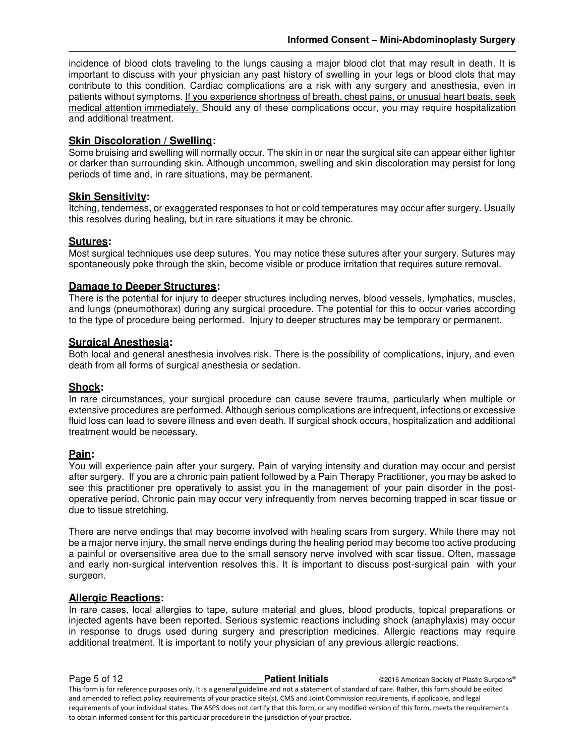incidence of blood clots traveling to the lungs causing a major blood clot that may result in death. It is important to discuss with your physician any past history of swelling in your legs or blood clots that may contribute to this condition. Cardiac complications are a risk with any surgery and anesthesia, even in patients without symptoms. If you experience shortness of breath, chest pains, or unusual heart beats, seek medical attention immediately. Should any of these complications occur, you may require hospitalization and additional treatment.

### **Skin Discoloration / Swelling:**

Some bruising and swelling will normally occur. The skin in or near the surgical site can appear either lighter or darker than surrounding skin. Although uncommon, swelling and skin discoloration may persist for long periods of time and, in rare situations, may be permanent.

## **Skin Sensitivity:**

Itching, tenderness, or exaggerated responses to hot or cold temperatures may occur after surgery. Usually this resolves during healing, but in rare situations it may be chronic.

## **Sutures:**

Most surgical techniques use deep sutures. You may notice these sutures after your surgery. Sutures may spontaneously poke through the skin, become visible or produce irritation that requires suture removal.

#### **Damage to Deeper Structures:**

There is the potential for injury to deeper structures including nerves, blood vessels, lymphatics, muscles, and lungs (pneumothorax) during any surgical procedure. The potential for this to occur varies according to the type of procedure being performed. Injury to deeper structures may be temporary or permanent.

#### **Surgical Anesthesia:**

Both local and general anesthesia involves risk. There is the possibility of complications, injury, and even death from all forms of surgical anesthesia or sedation.

#### **Shock:**

In rare circumstances, your surgical procedure can cause severe trauma, particularly when multiple or extensive procedures are performed. Although serious complications are infrequent, infections or excessive fluid loss can lead to severe illness and even death. If surgical shock occurs, hospitalization and additional treatment would be necessary.

#### **Pain:**

You will experience pain after your surgery. Pain of varying intensity and duration may occur and persist after surgery. If you are a chronic pain patient followed by a Pain Therapy Practitioner, you may be asked to see this practitioner pre operatively to assist you in the management of your pain disorder in the postoperative period. Chronic pain may occur very infrequently from nerves becoming trapped in scar tissue or due to tissue stretching.

There are nerve endings that may become involved with healing scars from surgery. While there may not be a major nerve injury, the small nerve endings during the healing period may become too active producing a painful or oversensitive area due to the small sensory nerve involved with scar tissue. Often, massage and early non-surgical intervention resolves this. It is important to discuss post-surgical pain with your surgeon.

#### **Allergic Reactions:**

In rare cases, local allergies to tape, suture material and glues, blood products, topical preparations or injected agents have been reported. Serious systemic reactions including shock (anaphylaxis) may occur in response to drugs used during surgery and prescription medicines. Allergic reactions may require additional treatment. It is important to notify your physician of any previous allergic reactions.

**Page 5 of 12 Patient Initials Patient Initials CALC CONFIDENT CONSTRUSTIES Partical Society of Plastic Surgeons®** This form is for reference purposes only. It is a general guideline and not a statement of standard of care. Rather, this form should be edited and amended to reflect policy requirements of your practice site(s), CMS and Joint Commission requirements, if applicable, and legal requirements of your individual states. The ASPS does not certify that this form, or any modified version of this form, meets the requirements to obtain informed consent for this particular procedure in the jurisdiction of your practice.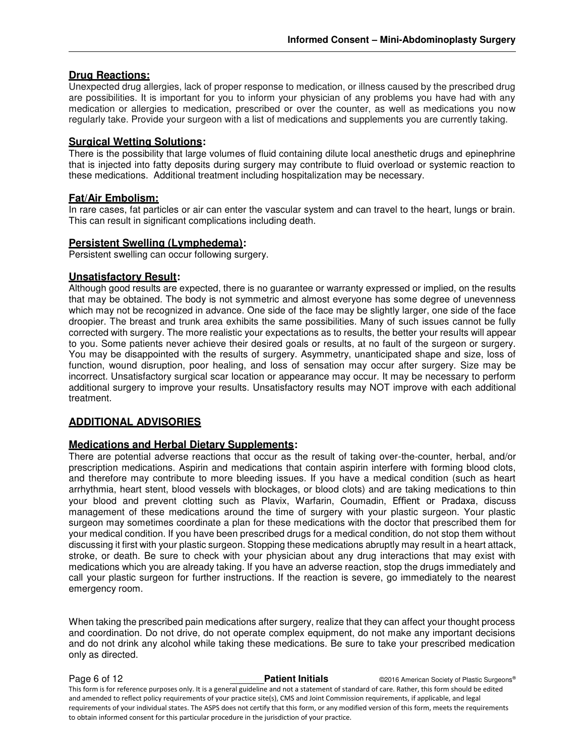# **Drug Reactions:**

Unexpected drug allergies, lack of proper response to medication, or illness caused by the prescribed drug are possibilities. It is important for you to inform your physician of any problems you have had with any medication or allergies to medication, prescribed or over the counter, as well as medications you now regularly take. Provide your surgeon with a list of medications and supplements you are currently taking.

#### **Surgical Wetting Solutions:**

There is the possibility that large volumes of fluid containing dilute local anesthetic drugs and epinephrine that is injected into fatty deposits during surgery may contribute to fluid overload or systemic reaction to these medications. Additional treatment including hospitalization may be necessary.

#### **Fat/Air Embolism:**

In rare cases, fat particles or air can enter the vascular system and can travel to the heart, lungs or brain. This can result in significant complications including death.

#### **Persistent Swelling (Lymphedema):**

Persistent swelling can occur following surgery.

### **Unsatisfactory Result:**

Although good results are expected, there is no guarantee or warranty expressed or implied, on the results that may be obtained. The body is not symmetric and almost everyone has some degree of unevenness which may not be recognized in advance. One side of the face may be slightly larger, one side of the face droopier. The breast and trunk area exhibits the same possibilities. Many of such issues cannot be fully corrected with surgery. The more realistic your expectations as to results, the better your results will appear to you. Some patients never achieve their desired goals or results, at no fault of the surgeon or surgery. You may be disappointed with the results of surgery. Asymmetry, unanticipated shape and size, loss of function, wound disruption, poor healing, and loss of sensation may occur after surgery. Size may be incorrect. Unsatisfactory surgical scar location or appearance may occur. It may be necessary to perform additional surgery to improve your results. Unsatisfactory results may NOT improve with each additional treatment.

#### **ADDITIONAL ADVISORIES**

#### **Medications and Herbal Dietary Supplements:**

There are potential adverse reactions that occur as the result of taking over-the-counter, herbal, and/or prescription medications. Aspirin and medications that contain aspirin interfere with forming blood clots, and therefore may contribute to more bleeding issues. If you have a medical condition (such as heart arrhythmia, heart stent, blood vessels with blockages, or blood clots) and are taking medications to thin your blood and prevent clotting such as Plavix, Warfarin, Coumadin, Effient or Pradaxa, discuss management of these medications around the time of surgery with your plastic surgeon. Your plastic surgeon may sometimes coordinate a plan for these medications with the doctor that prescribed them for your medical condition. If you have been prescribed drugs for a medical condition, do not stop them without discussing it first with your plastic surgeon. Stopping these medications abruptly may result in a heart attack, stroke, or death. Be sure to check with your physician about any drug interactions that may exist with medications which you are already taking. If you have an adverse reaction, stop the drugs immediately and call your plastic surgeon for further instructions. If the reaction is severe, go immediately to the nearest emergency room.

When taking the prescribed pain medications after surgery, realize that they can affect your thought process and coordination. Do not drive, do not operate complex equipment, do not make any important decisions and do not drink any alcohol while taking these medications. Be sure to take your prescribed medication only as directed.

**Page 6 of 12 Patient Initials Patient Initials CALC American Society of Plastic Surgeons®** This form is for reference purposes only. It is a general guideline and not a statement of standard of care. Rather, this form should be edited and amended to reflect policy requirements of your practice site(s), CMS and Joint Commission requirements, if applicable, and legal requirements of your individual states. The ASPS does not certify that this form, or any modified version of this form, meets the requirements to obtain informed consent for this particular procedure in the jurisdiction of your practice.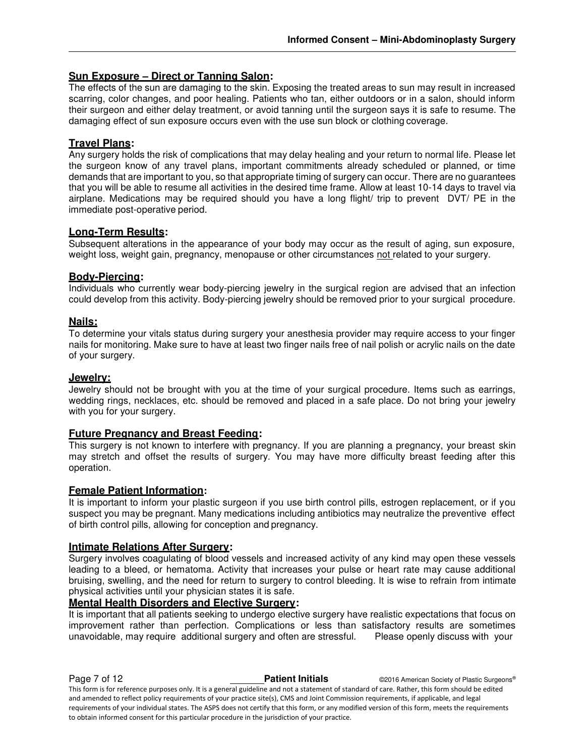# **Sun Exposure – Direct or Tanning Salon:**

The effects of the sun are damaging to the skin. Exposing the treated areas to sun may result in increased scarring, color changes, and poor healing. Patients who tan, either outdoors or in a salon, should inform their surgeon and either delay treatment, or avoid tanning until the surgeon says it is safe to resume. The damaging effect of sun exposure occurs even with the use sun block or clothing coverage.

## **Travel Plans:**

Any surgery holds the risk of complications that may delay healing and your return to normal life. Please let the surgeon know of any travel plans, important commitments already scheduled or planned, or time demands that are important to you, so that appropriate timing of surgery can occur. There are no guarantees that you will be able to resume all activities in the desired time frame. Allow at least 10-14 days to travel via airplane. Medications may be required should you have a long flight/ trip to prevent DVT/ PE in the immediate post-operative period.

#### **Long-Term Results:**

Subsequent alterations in the appearance of your body may occur as the result of aging, sun exposure, weight loss, weight gain, pregnancy, menopause or other circumstances not related to your surgery.

#### **Body-Piercing:**

Individuals who currently wear body-piercing jewelry in the surgical region are advised that an infection could develop from this activity. Body-piercing jewelry should be removed prior to your surgical procedure.

## **Nails:**

To determine your vitals status during surgery your anesthesia provider may require access to your finger nails for monitoring. Make sure to have at least two finger nails free of nail polish or acrylic nails on the date of your surgery.

### **Jewelry:**

Jewelry should not be brought with you at the time of your surgical procedure. Items such as earrings, wedding rings, necklaces, etc. should be removed and placed in a safe place. Do not bring your jewelry with you for your surgery.

#### **Future Pregnancy and Breast Feeding:**

This surgery is not known to interfere with pregnancy. If you are planning a pregnancy, your breast skin may stretch and offset the results of surgery. You may have more difficulty breast feeding after this operation.

#### **Female Patient Information:**

It is important to inform your plastic surgeon if you use birth control pills, estrogen replacement, or if you suspect you may be pregnant. Many medications including antibiotics may neutralize the preventive effect of birth control pills, allowing for conception and pregnancy.

#### **Intimate Relations After Surgery:**

Surgery involves coagulating of blood vessels and increased activity of any kind may open these vessels leading to a bleed, or hematoma. Activity that increases your pulse or heart rate may cause additional bruising, swelling, and the need for return to surgery to control bleeding. It is wise to refrain from intimate physical activities until your physician states it is safe.

#### **Mental Health Disorders and Elective Surgery:**

to obtain informed consent for this particular procedure in the jurisdiction of your practice.

It is important that all patients seeking to undergo elective surgery have realistic expectations that focus on improvement rather than perfection. Complications or less than satisfactory results are sometimes unavoidable, may require additional surgery and often are stressful. Please openly discuss with your

**Page 7 of 12 Patient Initials Patient Initials C2016 American Society of Plastic Surgeons®** This form is for reference purposes only. It is a general guideline and not a statement of standard of care. Rather, this form should be edited and amended to reflect policy requirements of your practice site(s), CMS and Joint Commission requirements, if applicable, and legal requirements of your individual states. The ASPS does not certify that this form, or any modified version of this form, meets the requirements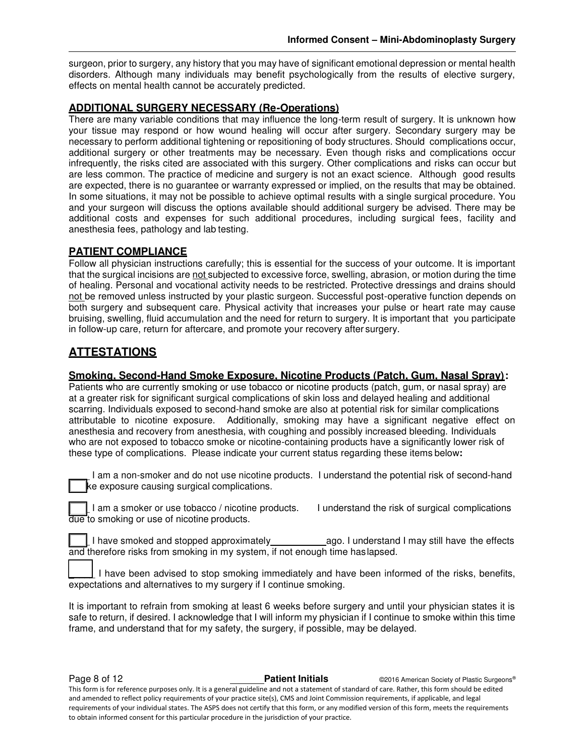surgeon, prior to surgery, any history that you may have of significant emotional depression or mental health disorders. Although many individuals may benefit psychologically from the results of elective surgery, effects on mental health cannot be accurately predicted.

# **ADDITIONAL SURGERY NECESSARY (Re-Operations)**

There are many variable conditions that may influence the long-term result of surgery. It is unknown how your tissue may respond or how wound healing will occur after surgery. Secondary surgery may be necessary to perform additional tightening or repositioning of body structures. Should complications occur, additional surgery or other treatments may be necessary. Even though risks and complications occur infrequently, the risks cited are associated with this surgery. Other complications and risks can occur but are less common. The practice of medicine and surgery is not an exact science. Although good results are expected, there is no guarantee or warranty expressed or implied, on the results that may be obtained. In some situations, it may not be possible to achieve optimal results with a single surgical procedure. You and your surgeon will discuss the options available should additional surgery be advised. There may be additional costs and expenses for such additional procedures, including surgical fees, facility and anesthesia fees, pathology and lab testing.

# **PATIENT COMPLIANCE**

Follow all physician instructions carefully; this is essential for the success of your outcome. It is important that the surgical incisions are not subjected to excessive force, swelling, abrasion, or motion during the time of healing. Personal and vocational activity needs to be restricted. Protective dressings and drains should not be removed unless instructed by your plastic surgeon. Successful post-operative function depends on both surgery and subsequent care. Physical activity that increases your pulse or heart rate may cause bruising, swelling, fluid accumulation and the need for return to surgery. It is important that you participate in follow-up care, return for aftercare, and promote your recovery after surgery.

# **ATTESTATIONS**

# **Smoking, Second-Hand Smoke Exposure, Nicotine Products (Patch, Gum, Nasal Spray):**

Patients who are currently smoking or use tobacco or nicotine products (patch, gum, or nasal spray) are at a greater risk for significant surgical complications of skin loss and delayed healing and additional scarring. Individuals exposed to second-hand smoke are also at potential risk for similar complications attributable to nicotine exposure. Additionally, smoking may have a significant negative effect on anesthesia and recovery from anesthesia, with coughing and possibly increased bleeding. Individuals who are not exposed to tobacco smoke or nicotine-containing products have a significantly lower risk of these type of complications. Please indicate your current status regarding these items below**:** 

I am a non-smoker and do not use nicotine products. I understand the potential risk of second-hand ke exposure causing surgical complications.

\_\_\_\_ I am a smoker or use tobacco / nicotine products. I understand the risk of surgical complications due to smoking or use of nicotine products.

I have smoked and stopped approximately ago. I understand I may still have the effects and therefore risks from smoking in my system, if not enough time has lapsed.

I have been advised to stop smoking immediately and have been informed of the risks, benefits, expectations and alternatives to my surgery if I continue smoking.

It is important to refrain from smoking at least 6 weeks before surgery and until your physician states it is safe to return, if desired. I acknowledge that I will inform my physician if I continue to smoke within this time frame, and understand that for my safety, the surgery, if possible, may be delayed.

**Page 8 of 12 Patient Initials Patient Initials C2016 American Society of Plastic Surgeons®** This form is for reference purposes only. It is a general guideline and not a statement of standard of care. Rather, this form should be edited and amended to reflect policy requirements of your practice site(s), CMS and Joint Commission requirements, if applicable, and legal requirements of your individual states. The ASPS does not certify that this form, or any modified version of this form, meets the requirements to obtain informed consent for this particular procedure in the jurisdiction of your practice.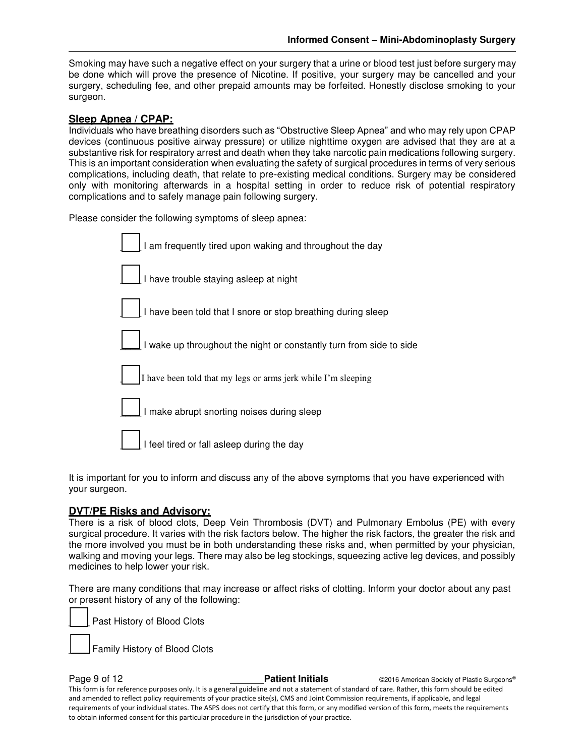Smoking may have such a negative effect on your surgery that a urine or blood test just before surgery may be done which will prove the presence of Nicotine. If positive, your surgery may be cancelled and your surgery, scheduling fee, and other prepaid amounts may be forfeited. Honestly disclose smoking to your surgeon.

### **Sleep Apnea / CPAP:**

Individuals who have breathing disorders such as "Obstructive Sleep Apnea" and who may rely upon CPAP devices (continuous positive airway pressure) or utilize nighttime oxygen are advised that they are at a substantive risk for respiratory arrest and death when they take narcotic pain medications following surgery. This is an important consideration when evaluating the safety of surgical procedures in terms of very serious complications, including death, that relate to pre-existing medical conditions. Surgery may be considered only with monitoring afterwards in a hospital setting in order to reduce risk of potential respiratory complications and to safely manage pain following surgery.

Please consider the following symptoms of sleep apnea:

| I am frequently tired upon waking and throughout the day            |
|---------------------------------------------------------------------|
| I have trouble staying asleep at night                              |
| I have been told that I snore or stop breathing during sleep        |
| I wake up throughout the night or constantly turn from side to side |
| I have been told that my legs or arms jerk while I'm sleeping       |
| I make abrupt snorting noises during sleep                          |
| I feel tired or fall asleep during the day                          |

It is important for you to inform and discuss any of the above symptoms that you have experienced with your surgeon.

#### **DVT/PE Risks and Advisory:**

There is a risk of blood clots, Deep Vein Thrombosis (DVT) and Pulmonary Embolus (PE) with every surgical procedure. It varies with the risk factors below. The higher the risk factors, the greater the risk and the more involved you must be in both understanding these risks and, when permitted by your physician, walking and moving your legs. There may also be leg stockings, squeezing active leg devices, and possibly medicines to help lower your risk.

There are many conditions that may increase or affect risks of clotting. Inform your doctor about any past or present history of any of the following:

Past History of Blood Clots

Family History of Blood Clots

**Page 9 of 12 Patient Initials Patient Initials C2016 American Society of Plastic Surgeons®** This form is for reference purposes only. It is a general guideline and not a statement of standard of care. Rather, this form should be edited and amended to reflect policy requirements of your practice site(s), CMS and Joint Commission requirements, if applicable, and legal requirements of your individual states. The ASPS does not certify that this form, or any modified version of this form, meets the requirements to obtain informed consent for this particular procedure in the jurisdiction of your practice.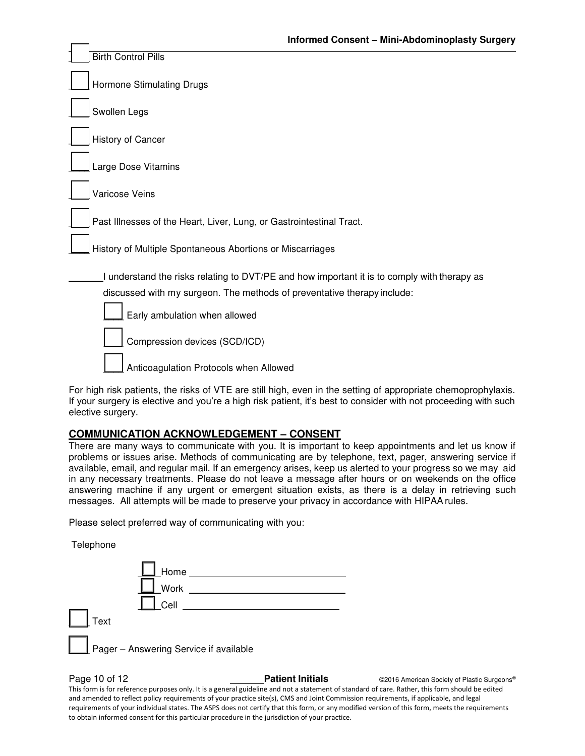| <b>Birth Control Pills</b>                                                                                                                                             |
|------------------------------------------------------------------------------------------------------------------------------------------------------------------------|
| Hormone Stimulating Drugs                                                                                                                                              |
| Swollen Legs                                                                                                                                                           |
| History of Cancer                                                                                                                                                      |
| Large Dose Vitamins                                                                                                                                                    |
| Varicose Veins                                                                                                                                                         |
| Past Illnesses of the Heart, Liver, Lung, or Gastrointestinal Tract.                                                                                                   |
| History of Multiple Spontaneous Abortions or Miscarriages                                                                                                              |
| I understand the risks relating to DVT/PE and how important it is to comply with therapy as<br>discussed with my surgeon. The methods of preventative therapy include: |
| Early ambulation when allowed                                                                                                                                          |
| Compression devices (SCD/ICD)                                                                                                                                          |
| Anticoagulation Protocols when Allowed                                                                                                                                 |

For high risk patients, the risks of VTE are still high, even in the setting of appropriate chemoprophylaxis. If your surgery is elective and you're a high risk patient, it's best to consider with not proceeding with such elective surgery.

#### **COMMUNICATION ACKNOWLEDGEMENT – CONSENT**

There are many ways to communicate with you. It is important to keep appointments and let us know if problems or issues arise. Methods of communicating are by telephone, text, pager, answering service if available, email, and regular mail. If an emergency arises, keep us alerted to your progress so we may aid in any necessary treatments. Please do not leave a message after hours or on weekends on the office answering machine if any urgent or emergent situation exists, as there is a delay in retrieving such messages. All attempts will be made to preserve your privacy in accordance with HIPAA rules.

Please select preferred way of communicating with you:

Telephone

| _Home                                        |
|----------------------------------------------|
| -<br>Work                                    |
| Cell                                         |
| $\vert \ \vert$ Text                         |
| I.<br>Pager - Answering Service if available |

**Page 10 of 12 Patient Initials Patient Initials C2016 American Society of Plastic Surgeons®** This form is for reference purposes only. It is a general guideline and not a statement of standard of care. Rather, this form should be edited and amended to reflect policy requirements of your practice site(s), CMS and Joint Commission requirements, if applicable, and legal requirements of your individual states. The ASPS does not certify that this form, or any modified version of this form, meets the requirements to obtain informed consent for this particular procedure in the jurisdiction of your practice.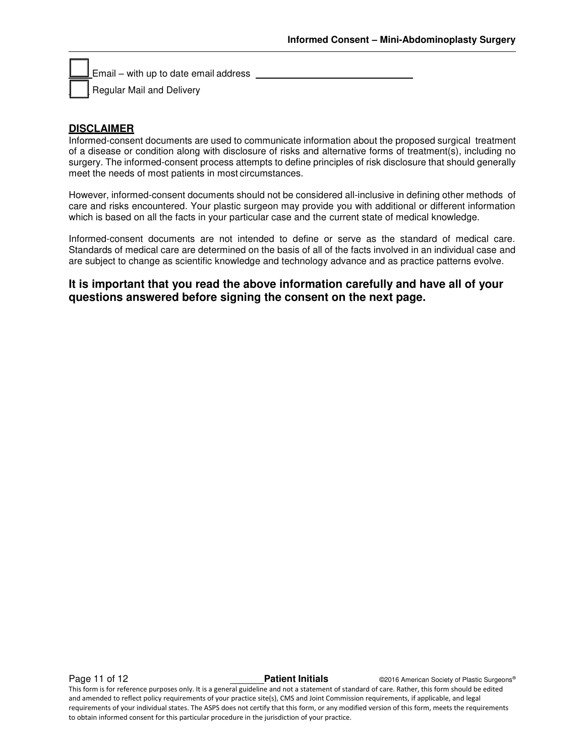Email – with up to date email address

Regular Mail and Delivery

# **DISCLAIMER**

Informed-consent documents are used to communicate information about the proposed surgical treatment of a disease or condition along with disclosure of risks and alternative forms of treatment(s), including no surgery. The informed-consent process attempts to define principles of risk disclosure that should generally meet the needs of most patients in most circumstances.

However, informed-consent documents should not be considered all-inclusive in defining other methods of care and risks encountered. Your plastic surgeon may provide you with additional or different information which is based on all the facts in your particular case and the current state of medical knowledge.

Informed-consent documents are not intended to define or serve as the standard of medical care. Standards of medical care are determined on the basis of all of the facts involved in an individual case and are subject to change as scientific knowledge and technology advance and as practice patterns evolve.

**It is important that you read the above information carefully and have all of your questions answered before signing the consent on the next page.** 

**Page 11 of 12 Patient Initials Patient Initials CALC CONFIDENT CONFIDENT Patient Initials CONFIDENT CONFIDENT** 

This form is for reference purposes only. It is a general guideline and not a statement of standard of care. Rather, this form should be edited and amended to reflect policy requirements of your practice site(s), CMS and Joint Commission requirements, if applicable, and legal requirements of your individual states. The ASPS does not certify that this form, or any modified version of this form, meets the requirements to obtain informed consent for this particular procedure in the jurisdiction of your practice.